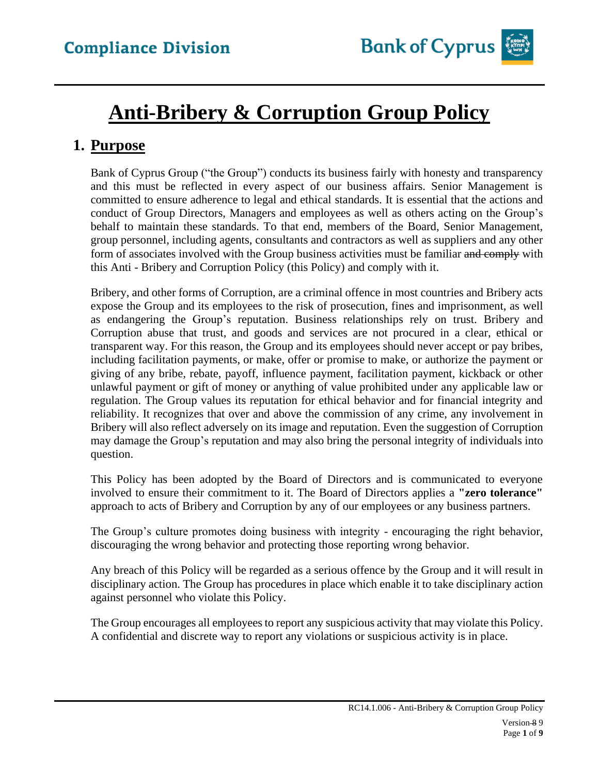

# **Anti-Bribery & Corruption Group Policy**

## **1. Purpose**

Bank of Cyprus Group ("the Group") conducts its business fairly with honesty and transparency and this must be reflected in every aspect of our business affairs. Senior Management is committed to ensure adherence to legal and ethical standards. It is essential that the actions and conduct of Group Directors, Managers and employees as well as others acting on the Group's behalf to maintain these standards. To that end, members of the Board, Senior Management, group personnel, including agents, consultants and contractors as well as suppliers and any other form of associates involved with the Group business activities must be familiar and comply with this Anti - Bribery and Corruption Policy (this Policy) and comply with it.

Bribery, and other forms of Corruption, are a criminal offence in most countries and Bribery acts expose the Group and its employees to the risk of prosecution, fines and imprisonment, as well as endangering the Group's reputation. Business relationships rely on trust. Bribery and Corruption abuse that trust, and goods and services are not procured in a clear, ethical or transparent way. For this reason, the Group and its employees should never accept or pay bribes, including facilitation payments, or make, offer or promise to make, or authorize the payment or giving of any bribe, rebate, payoff, influence payment, facilitation payment, kickback or other unlawful payment or gift of money or anything of value prohibited under any applicable law or regulation. The Group values its reputation for ethical behavior and for financial integrity and reliability. It recognizes that over and above the commission of any crime, any involvement in Bribery will also reflect adversely on its image and reputation. Even the suggestion of Corruption may damage the Group's reputation and may also bring the personal integrity of individuals into question.

This Policy has been adopted by the Board of Directors and is communicated to everyone involved to ensure their commitment to it. The Board of Directors applies a **"zero tolerance"** approach to acts of Bribery and Corruption by any of our employees or any business partners.

The Group's culture promotes doing business with integrity - encouraging the right behavior, discouraging the wrong behavior and protecting those reporting wrong behavior.

Any breach of this Policy will be regarded as a serious offence by the Group and it will result in disciplinary action. The Group has procedures in place which enable it to take disciplinary action against personnel who violate this Policy.

The Group encourages all employees to report any suspicious activity that may violate this Policy. A confidential and discrete way to report any violations or suspicious activity is in place.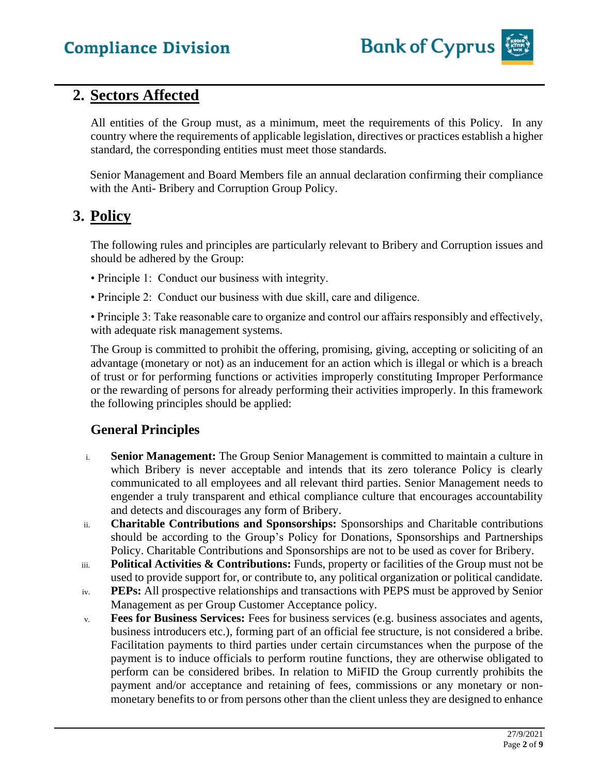

## **2. Sectors Affected**

All entities of the Group must, as a minimum, meet the requirements of this Policy. In any country where the requirements of applicable legislation, directives or practices establish a higher standard, the corresponding entities must meet those standards.

Senior Management and Board Members file an annual declaration confirming their compliance with the Anti- Bribery and Corruption Group Policy.

## **3. Policy**

The following rules and principles are particularly relevant to Bribery and Corruption issues and should be adhered by the Group:

- Principle 1: Conduct our business with integrity.
- Principle 2: Conduct our business with due skill, care and diligence.

• Principle 3: Take reasonable care to organize and control our affairs responsibly and effectively, with adequate risk management systems.

The Group is committed to prohibit the offering, promising, giving, accepting or soliciting of an advantage (monetary or not) as an inducement for an action which is illegal or which is a breach of trust or for performing functions or activities improperly constituting Improper Performance or the rewarding of persons for already performing their activities improperly. In this framework the following principles should be applied:

### **General Principles**

- i. **Senior Management:** The Group Senior Management is committed to maintain a culture in which Bribery is never acceptable and intends that its zero tolerance Policy is clearly communicated to all employees and all relevant third parties. Senior Management needs to engender a truly transparent and ethical compliance culture that encourages accountability and detects and discourages any form of Bribery.
- ii. **Charitable Contributions and Sponsorships:** Sponsorships and Charitable contributions should be according to the Group's Policy for Donations, Sponsorships and Partnerships Policy. Charitable Contributions and Sponsorships are not to be used as cover for Bribery.
- iii. **Political Activities & Contributions:** Funds, property or facilities of the Group must not be used to provide support for, or contribute to, any political organization or political candidate.
- iv. **PEPs:** All prospective relationships and transactions with PEPS must be approved by Senior Management as per Group Customer Acceptance policy.
- v. **Fees for Business Services:** Fees for business services (e.g. business associates and agents, business introducers etc.), forming part of an official fee structure, is not considered a bribe. Facilitation payments to third parties under certain circumstances when the purpose of the payment is to induce officials to perform routine functions, they are otherwise obligated to perform can be considered bribes. In relation to MiFID the Group currently prohibits the payment and/or acceptance and retaining of fees, commissions or any monetary or nonmonetary benefits to or from persons other than the client unless they are designed to enhance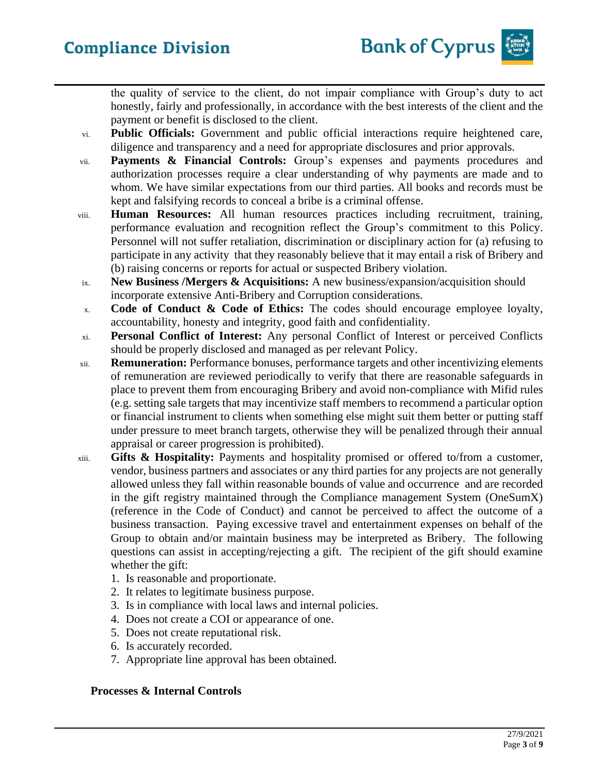the quality of service to the client, do not impair compliance with Group's duty to act honestly, fairly and professionally, in accordance with the best interests of the client and the payment or benefit is disclosed to the client.

- vi. **Public Officials:** Government and public official interactions require heightened care, diligence and transparency and a need for appropriate disclosures and prior approvals.
- vii. **Payments & Financial Controls:** Group's expenses and payments procedures and authorization processes require a clear understanding of why payments are made and to whom. We have similar expectations from our third parties. All books and records must be kept and falsifying records to conceal a bribe is a criminal offense.
- viii. **Human Resources:** All human resources practices including recruitment, training, performance evaluation and recognition reflect the Group's commitment to this Policy. Personnel will not suffer retaliation, discrimination or disciplinary action for (a) refusing to participate in any activity that they reasonably believe that it may entail a risk of Bribery and (b) raising concerns or reports for actual or suspected Bribery violation.
- ix. **New Business /Mergers & Acquisitions:** A new business/expansion/acquisition should incorporate extensive Anti-Bribery and Corruption considerations.
- x. **Code of Conduct & Code of Ethics:** The codes should encourage employee loyalty, accountability, honesty and integrity, good faith and confidentiality.
- xi. **Personal Conflict of Interest:** Any personal Conflict of Interest or perceived Conflicts should be properly disclosed and managed as per relevant Policy.
- xii. **Remuneration:** Performance bonuses, performance targets and other incentivizing elements of remuneration are reviewed periodically to verify that there are reasonable safeguards in place to prevent them from encouraging Bribery and avoid non-compliance with Mifid rules (e.g. setting sale targets that may incentivize staff members to recommend a particular option or financial instrument to clients when something else might suit them better or putting staff under pressure to meet branch targets, otherwise they will be penalized through their annual appraisal or career progression is prohibited).
- xiii. **Gifts & Hospitality:** Payments and hospitality promised or offered to/from a customer, vendor, business partners and associates or any third parties for any projects are not generally allowed unless they fall within reasonable bounds of value and occurrence and are recorded in the gift registry maintained through the Compliance management System (OneSumX) (reference in the Code of Conduct) and cannot be perceived to affect the outcome of a business transaction. Paying excessive travel and entertainment expenses on behalf of the Group to obtain and/or maintain business may be interpreted as Bribery. The following questions can assist in accepting/rejecting a gift. The recipient of the gift should examine whether the gift:
	- 1. Is reasonable and proportionate.
	- 2. It relates to legitimate business purpose.
	- 3. Is in compliance with local laws and internal policies.
	- 4. Does not create a COI or appearance of one.
	- 5. Does not create reputational risk.
	- 6. Is accurately recorded.
	- 7. Appropriate line approval has been obtained.

#### **Processes & Internal Controls**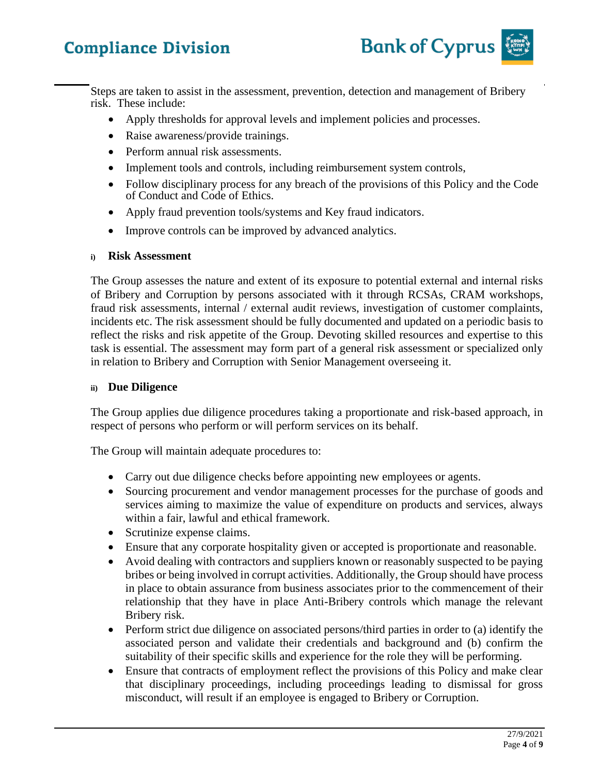

Steps are taken to assist in the assessment, prevention, detection and management of Bribery risk. These include:

- Apply thresholds for approval levels and implement policies and processes.
- Raise awareness/provide trainings.
- Perform annual risk assessments.
- Implement tools and controls, including reimbursement system controls,
- Follow disciplinary process for any breach of the provisions of this Policy and the Code of Conduct and Code of Ethics.
- Apply fraud prevention tools/systems and Key fraud indicators.
- Improve controls can be improved by advanced analytics.

#### **i) Risk Assessment**

The Group assesses the nature and extent of its exposure to potential external and internal risks of Bribery and Corruption by persons associated with it through RCSAs, CRAM workshops, fraud risk assessments, internal / external audit reviews, investigation of customer complaints, incidents etc. The risk assessment should be fully documented and updated on a periodic basis to reflect the risks and risk appetite of the Group. Devoting skilled resources and expertise to this task is essential. The assessment may form part of a general risk assessment or specialized only in relation to Bribery and Corruption with Senior Management overseeing it.

#### **ii) Due Diligence**

The Group applies due diligence procedures taking a proportionate and risk-based approach, in respect of persons who perform or will perform services on its behalf.

The Group will maintain adequate procedures to:

- Carry out due diligence checks before appointing new employees or agents.
- Sourcing procurement and vendor management processes for the purchase of goods and services aiming to maximize the value of expenditure on products and services, always within a fair, lawful and ethical framework.
- Scrutinize expense claims.
- Ensure that any corporate hospitality given or accepted is proportionate and reasonable.
- Avoid dealing with contractors and suppliers known or reasonably suspected to be paying bribes or being involved in corrupt activities. Additionally, the Group should have process in place to obtain assurance from business associates prior to the commencement of their relationship that they have in place Anti-Bribery controls which manage the relevant Bribery risk.
- Perform strict due diligence on associated persons/third parties in order to (a) identify the associated person and validate their credentials and background and (b) confirm the suitability of their specific skills and experience for the role they will be performing.
- Ensure that contracts of employment reflect the provisions of this Policy and make clear that disciplinary proceedings, including proceedings leading to dismissal for gross misconduct, will result if an employee is engaged to Bribery or Corruption.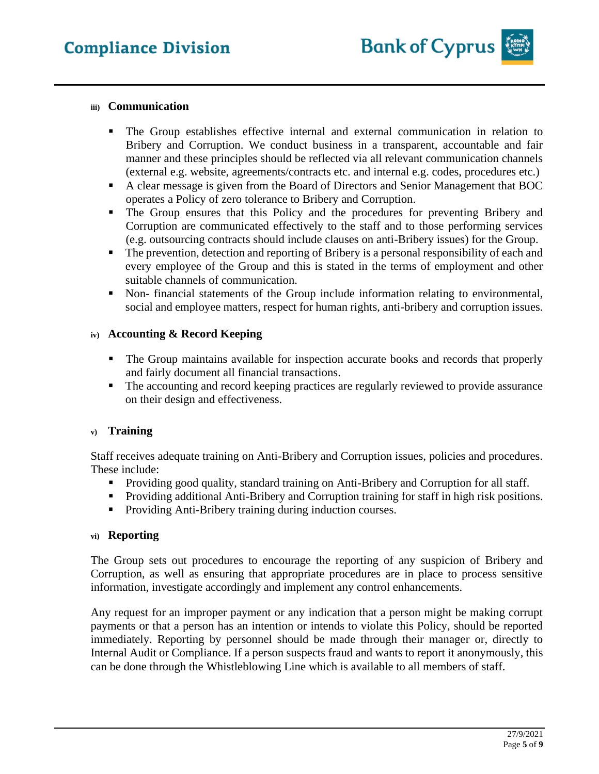#### **iii) Communication**

- The Group establishes effective internal and external communication in relation to Bribery and Corruption. We conduct business in a transparent, accountable and fair manner and these principles should be reflected via all relevant communication channels (external e.g. website, agreements/contracts etc. and internal e.g. codes, procedures etc.)
- A clear message is given from the Board of Directors and Senior Management that BOC operates a Policy of zero tolerance to Bribery and Corruption.
- The Group ensures that this Policy and the procedures for preventing Bribery and Corruption are communicated effectively to the staff and to those performing services (e.g. outsourcing contracts should include clauses on anti-Bribery issues) for the Group.
- The prevention, detection and reporting of Bribery is a personal responsibility of each and every employee of the Group and this is stated in the terms of employment and other suitable channels of communication.
- Non- financial statements of the Group include information relating to environmental, social and employee matters, respect for human rights, anti-bribery and corruption issues.

#### **iv) Accounting & Record Keeping**

- The Group maintains available for inspection accurate books and records that properly and fairly document all financial transactions.
- The accounting and record keeping practices are regularly reviewed to provide assurance on their design and effectiveness.

#### **v) Training**

Staff receives adequate training on Anti-Bribery and Corruption issues, policies and procedures. These include:

- Providing good quality, standard training on Anti-Bribery and Corruption for all staff.
- Providing additional Anti-Bribery and Corruption training for staff in high risk positions.
- Providing Anti-Bribery training during induction courses.

#### **vi) Reporting**

The Group sets out procedures to encourage the reporting of any suspicion of Bribery and Corruption, as well as ensuring that appropriate procedures are in place to process sensitive information, investigate accordingly and implement any control enhancements.

Any request for an improper payment or any indication that a person might be making corrupt payments or that a person has an intention or intends to violate this Policy, should be reported immediately. Reporting by personnel should be made through their manager or, directly to Internal Audit or Compliance. If a person suspects fraud and wants to report it anonymously, this can be done through the Whistleblowing Line which is available to all members of staff.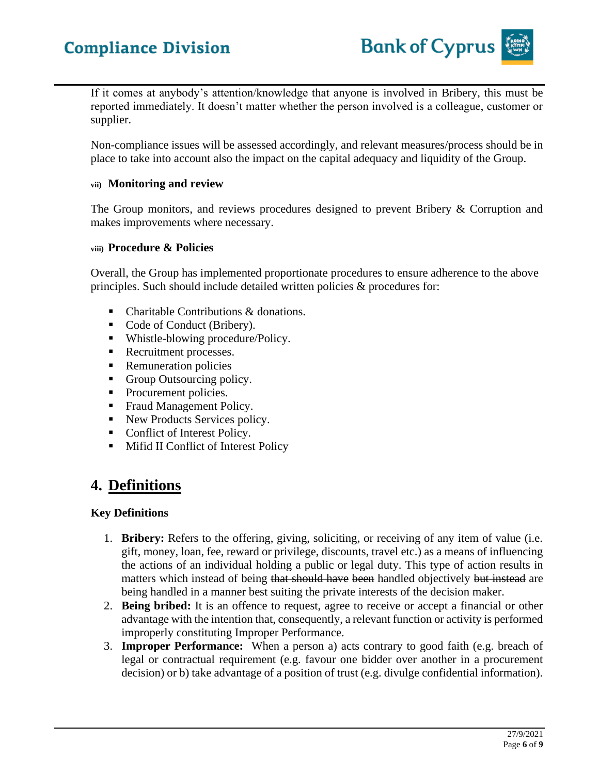

If it comes at anybody's attention/knowledge that anyone is involved in Bribery, this must be reported immediately. It doesn't matter whether the person involved is a colleague, customer or supplier.

Non-compliance issues will be assessed accordingly, and relevant measures/process should be in place to take into account also the impact on the capital adequacy and liquidity of the Group.

#### **vii) Monitoring and review**

The Group monitors, and reviews procedures designed to prevent Bribery & Corruption and makes improvements where necessary.

#### **viii) Procedure & Policies**

Overall, the Group has implemented proportionate procedures to ensure adherence to the above principles. Such should include detailed written policies & procedures for:

- Charitable Contributions & donations.
- Code of Conduct (Bribery).
- Whistle-blowing procedure/Policy.
- Recruitment processes.
- Remuneration policies
- Group Outsourcing policy.
- Procurement policies.
- Fraud Management Policy.
- New Products Services policy.
- Conflict of Interest Policy.
- Mifid II Conflict of Interest Policy

## **4. Definitions**

#### **Key Definitions**

- 1. **Bribery:** Refers to the offering, giving, soliciting, or receiving of any item of value (i.e. gift, money, loan, fee, reward or privilege, discounts, travel etc.) as a means of influencing the actions of an individual holding a public or legal duty. This type of action results in matters which instead of being that should have been handled objectively but instead are being handled in a manner best suiting the private interests of the decision maker.
- 2. **Being bribed:** It is an offence to request, agree to receive or accept a financial or other advantage with the intention that, consequently, a relevant function or activity is performed improperly constituting Improper Performance.
- 3. **Improper Performance:** When a person a) acts contrary to good faith (e.g. breach of legal or contractual requirement (e.g. favour one bidder over another in a procurement decision) or b) take advantage of a position of trust (e.g. divulge confidential information).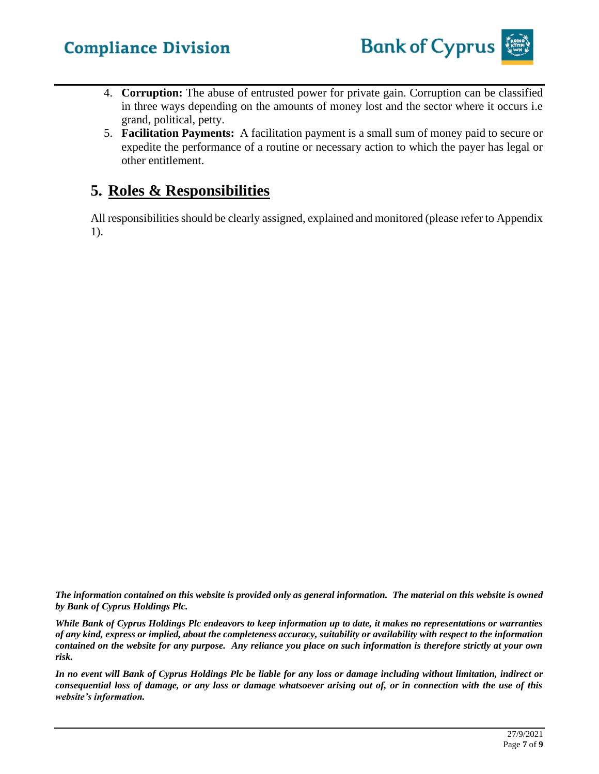- 4. **Corruption:** The abuse of entrusted power for private gain. Corruption can be classified in three ways depending on the amounts of money lost and the sector where it occurs i.e grand, political, petty.
- 5. **Facilitation Payments:** A facilitation payment is a small sum of money paid to secure or expedite the performance of a routine or necessary action to which the payer has legal or other entitlement.

## **5. Roles & Responsibilities**

All responsibilities should be clearly assigned, explained and monitored (please refer to Appendix 1).

*The information contained on this website is provided only as general information. The material on this website is owned by Bank of Cyprus Holdings Plc.*

*While Bank of Cyprus Holdings Plc endeavors to keep information up to date, it makes no representations or warranties of any kind, express or implied, about the completeness accuracy, suitability or availability with respect to the information contained on the website for any purpose. Any reliance you place on such information is therefore strictly at your own risk.* 

*In no event will Bank of Cyprus Holdings Plc be liable for any loss or damage including without limitation, indirect or consequential loss of damage, or any loss or damage whatsoever arising out of, or in connection with the use of this website's information.*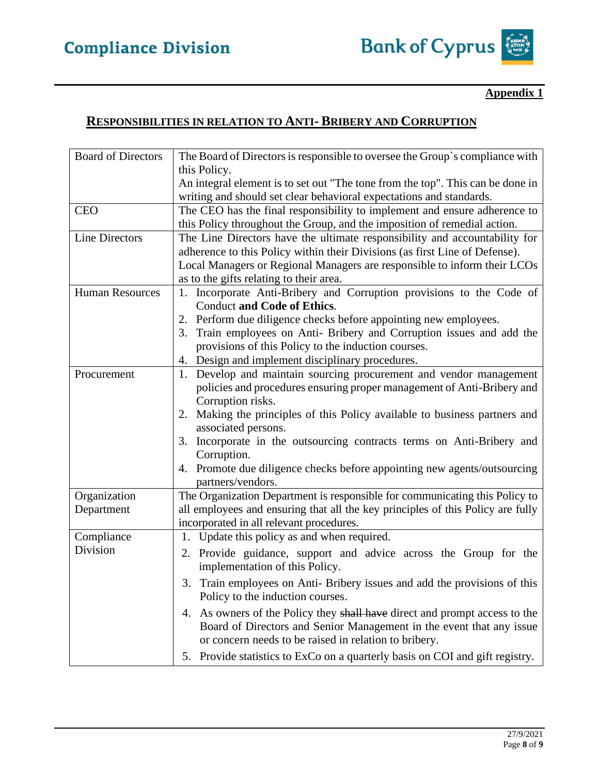### **Appendix 1**

## **RESPONSIBILITIES IN RELATION TO ANTI- BRIBERY AND CORRUPTION**

| <b>Board of Directors</b> | The Board of Directors is responsible to oversee the Group's compliance with    |
|---------------------------|---------------------------------------------------------------------------------|
|                           | this Policy.                                                                    |
|                           | An integral element is to set out "The tone from the top". This can be done in  |
|                           | writing and should set clear behavioral expectations and standards.             |
| <b>CEO</b>                | The CEO has the final responsibility to implement and ensure adherence to       |
|                           | this Policy throughout the Group, and the imposition of remedial action.        |
| <b>Line Directors</b>     | The Line Directors have the ultimate responsibility and accountability for      |
|                           | adherence to this Policy within their Divisions (as first Line of Defense).     |
|                           | Local Managers or Regional Managers are responsible to inform their LCOs        |
|                           | as to the gifts relating to their area.                                         |
| <b>Human Resources</b>    | 1. Incorporate Anti-Bribery and Corruption provisions to the Code of            |
|                           | <b>Conduct and Code of Ethics.</b>                                              |
|                           | Perform due diligence checks before appointing new employees.<br>2.             |
|                           | Train employees on Anti- Bribery and Corruption issues and add the<br>3.        |
|                           | provisions of this Policy to the induction courses.                             |
|                           | 4. Design and implement disciplinary procedures.                                |
| Procurement               | Develop and maintain sourcing procurement and vendor management<br>1.           |
|                           | policies and procedures ensuring proper management of Anti-Bribery and          |
|                           | Corruption risks.                                                               |
|                           | Making the principles of this Policy available to business partners and<br>2.   |
|                           | associated persons.                                                             |
|                           | 3. Incorporate in the outsourcing contracts terms on Anti-Bribery and           |
|                           | Corruption.                                                                     |
|                           | 4. Promote due diligence checks before appointing new agents/outsourcing        |
|                           | partners/vendors.                                                               |
| Organization              | The Organization Department is responsible for communicating this Policy to     |
| Department                | all employees and ensuring that all the key principles of this Policy are fully |
|                           | incorporated in all relevant procedures.                                        |
| Compliance                | 1. Update this policy as and when required.                                     |
| Division                  | 2. Provide guidance, support and advice across the Group for the                |
|                           | implementation of this Policy.                                                  |
|                           | Train employees on Anti- Bribery issues and add the provisions of this<br>3.    |
|                           | Policy to the induction courses.                                                |
|                           | 4. As owners of the Policy they shall have direct and prompt access to the      |
|                           | Board of Directors and Senior Management in the event that any issue            |
|                           | or concern needs to be raised in relation to bribery.                           |
|                           | 5. Provide statistics to ExCo on a quarterly basis on COI and gift registry.    |